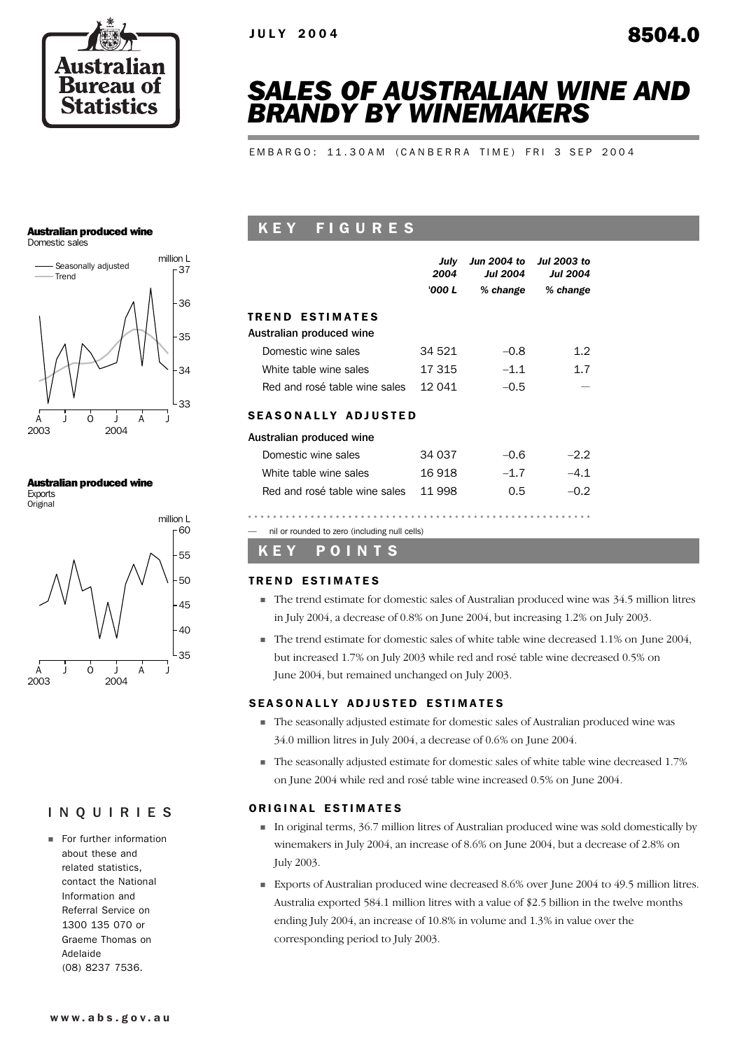

# *SALES OF AUSTRALIAN WINE AND BRANDY BY WINEMAKERS*

E M B A R G O : 1 1 . 3 0 A M ( C A N B E R R A T I M E ) F R I 3 S E P 2 0 0 4

### Australian produced wine





### Australian produced wine

Exports Original



# INQUIRIES

**Example 1** For further information about these and related statistics, contact the National Information and Referral Service on 1300 135 070 or Graeme Thomas on Adelaide (08) 8237 7536.

# K E Y F I G U R E S

|                               | July<br>2004<br>'000 L | Jun 2004 to<br><b>Jul 2004</b><br>% change | Jul 2003 to<br><b>Jul 2004</b><br>% change |
|-------------------------------|------------------------|--------------------------------------------|--------------------------------------------|
| <b>TREND ESTIMATES</b>        |                        |                                            |                                            |
| Australian produced wine      |                        |                                            |                                            |
| Domestic wine sales           | 34 521                 | $-0.8$                                     | 1.2                                        |
| White table wine sales        | 17 315                 | $-1.1$                                     | 1.7                                        |
| Red and rosé table wine sales | 12 041                 | $-0.5$                                     |                                            |
| <b>SEASONALLY ADJUSTED</b>    |                        |                                            |                                            |
| Australian produced wine      |                        |                                            |                                            |
| Domestic wine sales           | 34 037                 | $-0.6$                                     | $-2.2$                                     |
| White table wine sales        | 16 918                 | $-1.7$                                     | $-4.1$                                     |
| Red and rosé table wine sales | 11 998                 | 0.5                                        | $-0.2$                                     |
|                               |                        |                                            |                                            |

— nil or rounded to zero (including null cells)

## K E Y P O I N T S

### **TREND ESTIMATES**

- ! The trend estimate for domestic sales of Australian produced wine was 34.5 million litres in July 2004, a decrease of 0.8% on June 2004, but increasing 1.2% on July 2003.
- ! The trend estimate for domestic sales of white table wine decreased 1.1% on June 2004, but increased 1.7% on July 2003 while red and rosé table wine decreased 0.5% on June 2004, but remained unchanged on July 2003.

## SEASONALLY ADJUSTED ESTIMATES

- ! The seasonally adjusted estimate for domestic sales of Australian produced wine was 34.0 million litres in July 2004, a decrease of 0.6% on June 2004.
- ! The seasonally adjusted estimate for domestic sales of white table wine decreased 1.7% on June 2004 while red and rosé table wine increased 0.5% on June 2004.

### ORIGINAL ESTIMATES

- ! In original terms, 36.7 million litres of Australian produced wine was sold domestically by winemakers in July 2004, an increase of 8.6% on June 2004, but a decrease of 2.8% on July 2003.
- ! Exports of Australian produced wine decreased 8.6% over June 2004 to 49.5 million litres. Australia exported 584.1 million litres with a value of \$2.5 billion in the twelve months ending July 2004, an increase of 10.8% in volume and 1.3% in value over the corresponding period to July 2003.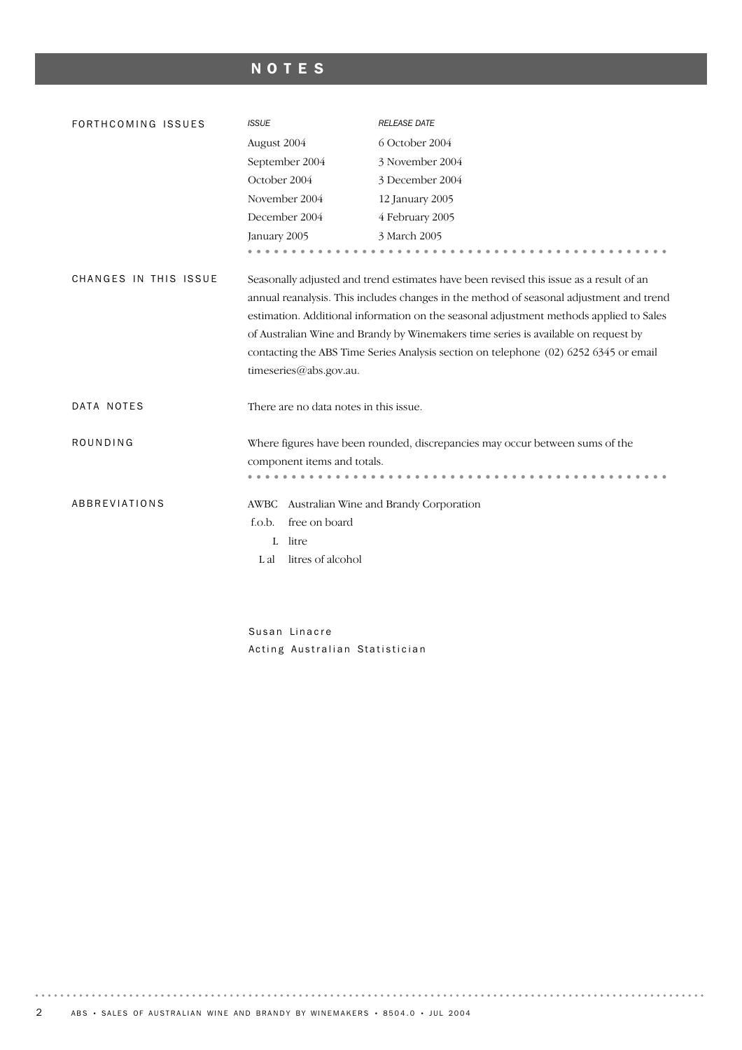# NOTES

| FORTHCOMING ISSUES    | <b>ISSUE</b>                                                               | <b>RELEASE DATE</b>                                                                                                                                                                                                                                                                                                                                                                                                                                       |
|-----------------------|----------------------------------------------------------------------------|-----------------------------------------------------------------------------------------------------------------------------------------------------------------------------------------------------------------------------------------------------------------------------------------------------------------------------------------------------------------------------------------------------------------------------------------------------------|
|                       | August 2004                                                                | 6 October 2004                                                                                                                                                                                                                                                                                                                                                                                                                                            |
|                       | September 2004                                                             | 3 November 2004                                                                                                                                                                                                                                                                                                                                                                                                                                           |
|                       | October 2004                                                               | 3 December 2004                                                                                                                                                                                                                                                                                                                                                                                                                                           |
|                       | November 2004                                                              | 12 January 2005                                                                                                                                                                                                                                                                                                                                                                                                                                           |
|                       | December 2004                                                              | 4 February 2005                                                                                                                                                                                                                                                                                                                                                                                                                                           |
|                       | January 2005                                                               | 3 March 2005                                                                                                                                                                                                                                                                                                                                                                                                                                              |
|                       |                                                                            |                                                                                                                                                                                                                                                                                                                                                                                                                                                           |
| CHANGES IN THIS ISSUE | timeseries@abs.gov.au.                                                     | Seasonally adjusted and trend estimates have been revised this issue as a result of an<br>annual reanalysis. This includes changes in the method of seasonal adjustment and trend<br>estimation. Additional information on the seasonal adjustment methods applied to Sales<br>of Australian Wine and Brandy by Winemakers time series is available on request by<br>contacting the ABS Time Series Analysis section on telephone (02) 6252 6345 or email |
| DATA NOTES            | There are no data notes in this issue.                                     |                                                                                                                                                                                                                                                                                                                                                                                                                                                           |
| ROUNDING              | component items and totals.                                                | Where figures have been rounded, discrepancies may occur between sums of the                                                                                                                                                                                                                                                                                                                                                                              |
| ABBREVIATIONS         | AWBC<br>f.o.b.<br>free on board<br>litre<br>L<br>litres of alcohol<br>L al | Australian Wine and Brandy Corporation                                                                                                                                                                                                                                                                                                                                                                                                                    |

Susan Linacre Acting Australian Statistician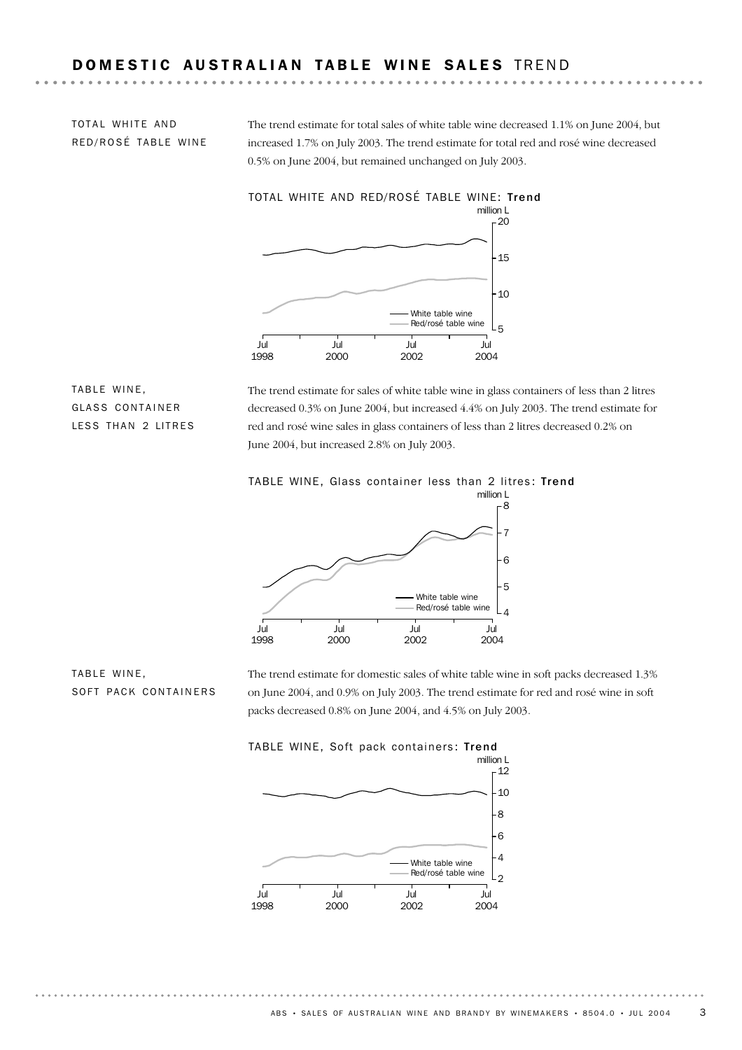TOTAL WHITE AND RED/ROSÉ TABLE WINE

The trend estimate for total sales of white table wine decreased 1.1% on June 2004, but increased 1.7% on July 2003. The trend estimate for total red and rosé wine decreased 0.5% on June 2004, but remained unchanged on July 2003.



TABLE WINE, GLASS CONTAINER LESS THAN 2 LITRES

The trend estimate for sales of white table wine in glass containers of less than 2 litres decreased 0.3% on June 2004, but increased 4.4% on July 2003. The trend estimate for red and rosé wine sales in glass containers of less than 2 litres decreased 0.2% on June 2004, but increased 2.8% on July 2003.





The trend estimate for domestic sales of white table wine in soft packs decreased 1.3% on June 2004, and 0.9% on July 2003. The trend estimate for red and rosé wine in soft packs decreased 0.8% on June 2004, and 4.5% on July 2003.



TABLE WINE, SOFT PACK CONTAINERS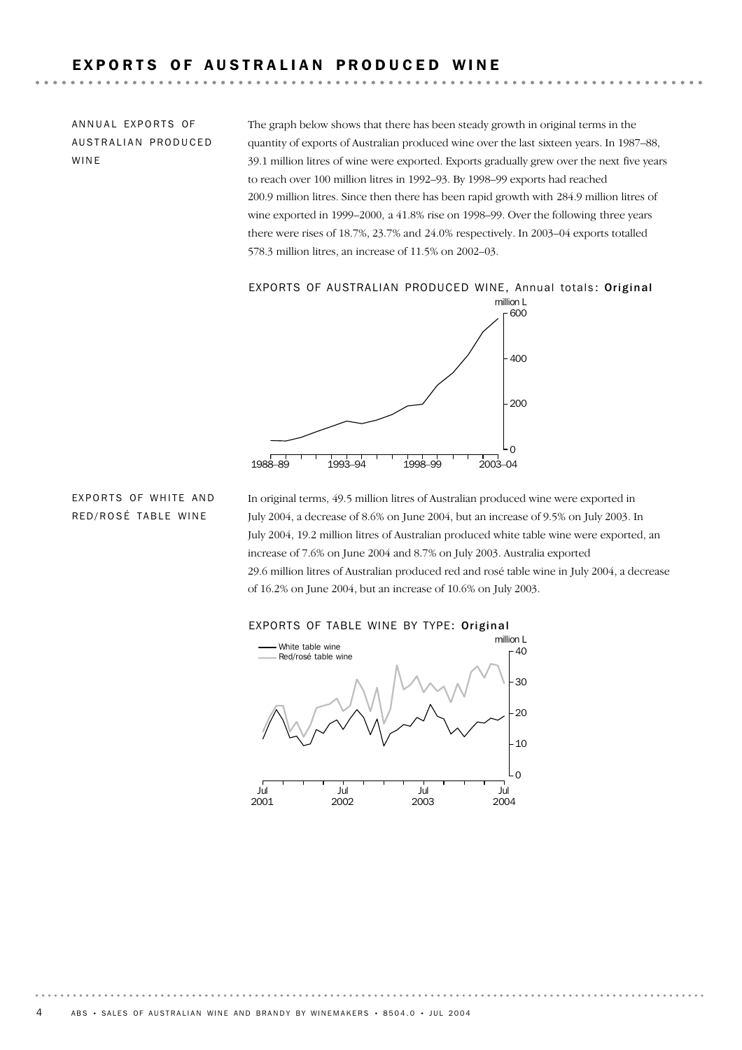# EXPORTS OF AUSTRALIAN PRODUCED WINE

ANNUAL EXPORTS OF AUSTRALIAN PRODUCED WINE

The graph below shows that there has been steady growth in original terms in the quantity of exports of Australian produced wine over the last sixteen years. In 1987–88, 39.1 million litres of wine were exported. Exports gradually grew over the next five years to reach over 100 million litres in 1992–93. By 1998–99 exports had reached 200.9 million litres. Since then there has been rapid growth with 284.9 million litres of wine exported in 1999–2000, a 41.8% rise on 1998–99. Over the following three years there were rises of 18.7%, 23.7% and 24.0% respectively. In 2003–04 exports totalled 578.3 million litres, an increase of 11.5% on 2002–03.

### EXPORTS OF AUSTRALIAN PRODUCED WINE, Annual totals: Original



## EXPORTS OF WHITE AND RED/ROSÉ TABLE WINE

In original terms, 49.5 million litres of Australian produced wine were exported in July 2004, a decrease of 8.6% on June 2004, but an increase of 9.5% on July 2003. In July 2004, 19.2 million litres of Australian produced white table wine were exported, an increase of 7.6% on June 2004 and 8.7% on July 2003. Australia exported 29.6 million litres of Australian produced red and rosé table wine in July 2004, a decrease of 16.2% on June 2004, but an increase of 10.6% on July 2003.



### EXPORTS OF TABLE WINE BY TYPE: Original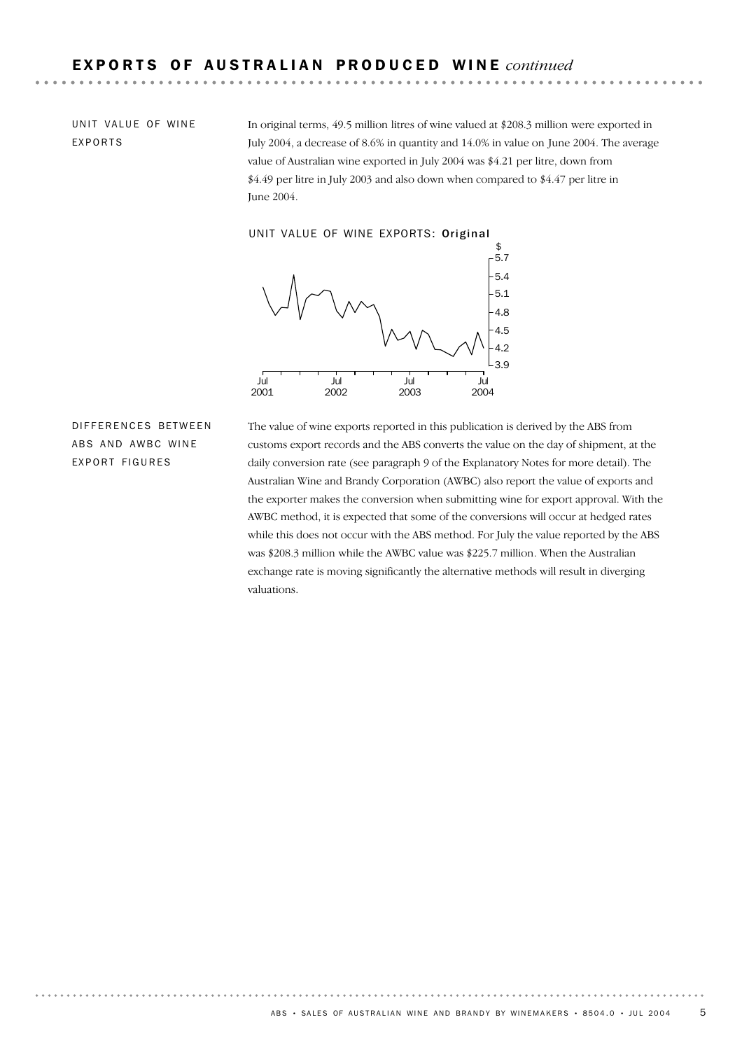UNIT VALUE OF WINE EXPORTS

In original terms, 49.5 million litres of wine valued at \$208.3 million were exported in July 2004, a decrease of 8.6% in quantity and 14.0% in value on June 2004. The average value of Australian wine exported in July 2004 was \$4.21 per litre, down from \$4.49 per litre in July 2003 and also down when compared to \$4.47 per litre in June 2004.

### UNIT VALUE OF WINE EXPORTS: Original



DIFFFRENCES BETWEEN ABS AND AWBC WINE EXPORT FIGURES

The value of wine exports reported in this publication is derived by the ABS from customs export records and the ABS converts the value on the day of shipment, at the daily conversion rate (see paragraph 9 of the Explanatory Notes for more detail). The Australian Wine and Brandy Corporation (AWBC) also report the value of exports and the exporter makes the conversion when submitting wine for export approval. With the AWBC method, it is expected that some of the conversions will occur at hedged rates while this does not occur with the ABS method. For July the value reported by the ABS was \$208.3 million while the AWBC value was \$225.7 million. When the Australian exchange rate is moving significantly the alternative methods will result in diverging valuations.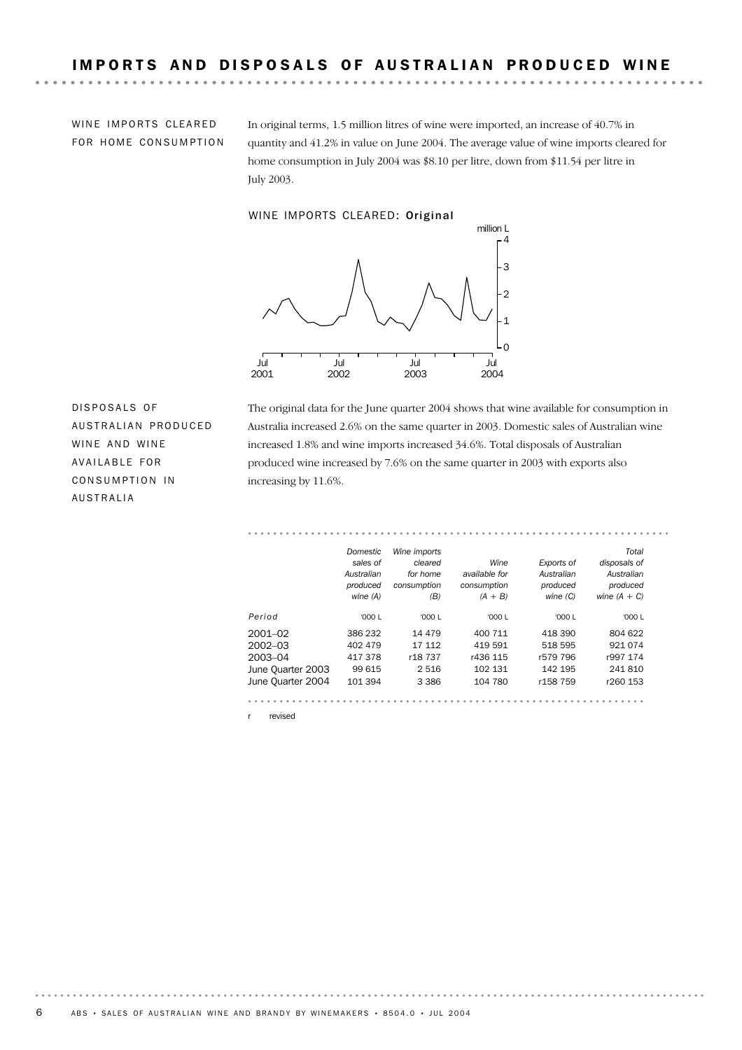WINE IMPORTS CLEARED FOR HOME CONSUMPTION

 $\mathbf{A} \times \mathbf{A} \times \mathbf{A} \times \mathbf{A}$ 

In original terms, 1.5 million litres of wine were imported, an increase of 40.7% in quantity and 41.2% in value on June 2004. The average value of wine imports cleared for home consumption in July 2004 was \$8.10 per litre, down from \$11.54 per litre in July 2003.

WINE IMPORTS CLEARED: Original



DISPOSALS OF AUSTRALIAN PRODUCED WINE AND WINE AVAILABLE FOR CONSUMPTION IN AUSTRALIA

The original data for the June quarter 2004 shows that wine available for consumption in Australia increased 2.6% on the same quarter in 2003. Domestic sales of Australian wine increased 1.8% and wine imports increased 34.6%. Total disposals of Australian produced wine increased by 7.6% on the same quarter in 2003 with exports also increasing by 11.6%.

|                   | Domestic   | Wine imports |               |                      | Total          |
|-------------------|------------|--------------|---------------|----------------------|----------------|
|                   | sales of   | cleared      | Wine          | Exports of           | disposals of   |
|                   | Australian | for home     | available for | Australian           | Australian     |
|                   | produced   | consumption  | consumption   | produced             | produced       |
|                   | wine (A)   | (B)          | $(A + B)$     | wine $(C)$           | wine $(A + C)$ |
| Period            | '000 L     | '000 L       | '000 L        | '000 $L$             | '000 $L$       |
| $2001 - 02$       | 386 232    | 14 479       | 400 711       | 418 390              | 804 622        |
| $2002 - 03$       | 402 479    | 17 112       | 419 591       | 518 595              | 921 074        |
| 2003-04           | 417378     | r18 737      | r436 115      | r579 796             | r997 174       |
| June Quarter 2003 | 99 615     | 2 5 1 6      | 102 131       | 142 195              | 241810         |
| June Ouarter 2004 | 101 394    | 3 3 8 6      | 104 780       | r <sub>158</sub> 759 | r260 153       |

revised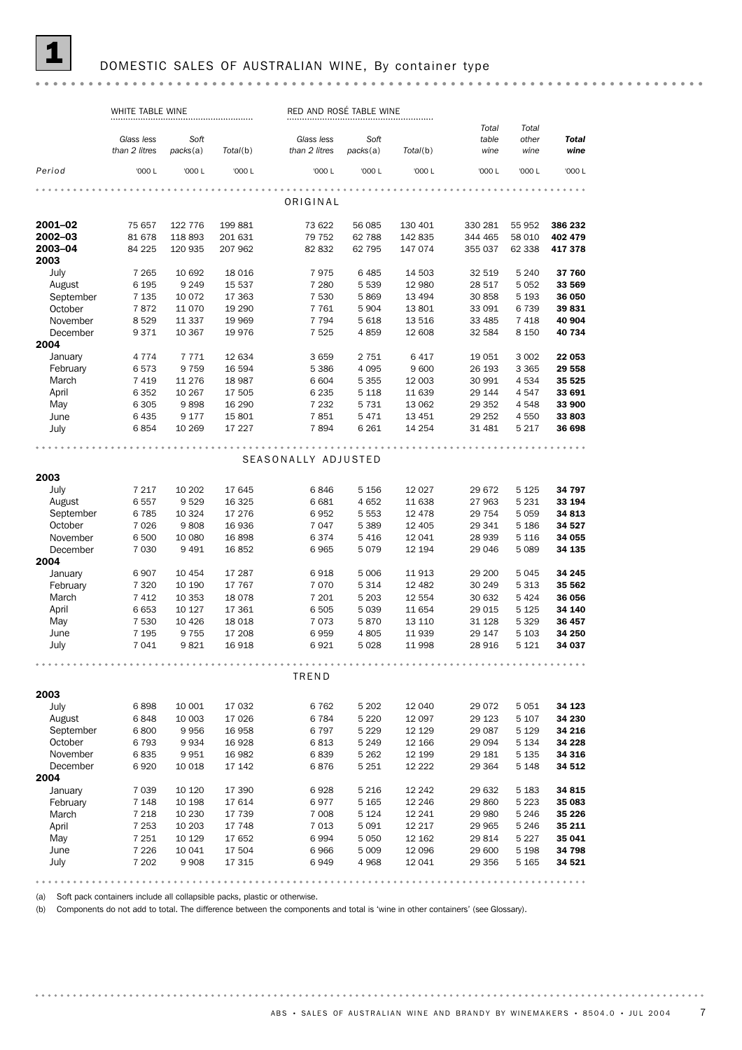#### DOMESTIC SALES OF AUSTRALIAN WINE, By container type

#### WHITE TABLE WINE PED AND ROSÉ TABLE WINE *Total Total Glass less Soft Glass less Soft table other Total Total*(b) *packs*(a) *than 2 litres packs*(a) *Total*(b) *than 2 litres wine wine wine Period* '000 L '000 L '000 L '000 L '000 L '000 L '000 L '000 L '000 L ORIGINAL **2001–02** 75 657 122 776 199 881 73 622 56 085 130 401 330 281 55 952 **386 232**<br>**2002–03** 81 678 118 893 201 631 79 752 62 788 142 835 344 465 58 010 402 479 2001−02 (56085 130 401 330 281 2002−03 84 225 118 893 201 631 73 622 56 085 130 401 330 281 55 952 386 232<br>2002−03 81 678 118 893 201 631 79 752 62 788 142 835 344 465 58 010 402 479<br>2003−04 84 225 120 935 207 962 82 832 2001–02 75 657 122 776 199 881 73 622 56 085 130 401 330 281 55 952 386 232 2003 July 7 265 10 692 18 016 7 975 6 485 14 503 32 519 5 240 37 760 August 6 195 9 249 15 537 7 280 5 539 12 980 28 517 5 052 **33 569** September 7 135 10 072 17 363 7 530 5 869 13 494 30 858 5 193 36 050<br>October 7 872 11 070 19 290 7 761 5 904 13 801 33 091 6 739 39 831 0ctober 7 872 11 070 19 290 7 761 5 904 13 801 33 091 6 739 **39 831** November 8 529 11 337 19 969 7 794 5 618 13 516 33 485 7 418 40 904 December 9 371 10 367 19 976 7 525 4 859 12 608 32 584 8 150 40 734 2004 January 4 774 7 771 12 634 3 659 2 751 6 417 19 051 3 002 **22 053** February 6 573 9 759 16 594 5 386 4 095 9 600 26 193 3 365 **29 558** March 7 419 11 276 18 987 6 604 5 355 12 003 30 991 4 534 35 525<br>April 6 352 10 267 17 505 6 235 5 118 11 639 29 144 4 547 33 691 4 2003 14 2003 14 2003 14 2003 14 4 534 **35 525**<br>April 6 352 10 267 17 505 6 6 235 5 118 11 639 29 144 4 547 **33 691**<br>May 6 305 9 898 16 290 7 232 5 731 13 062 29 352 4 548 **33 900** April 6 352 10 267 17 505 6 235 5 118 11 639 29 144 4 547 **33 691** June 6435 9 177 15 801 7 851 5 471 13 451 29 252 4 550 33 803 July 6 854 10 269 17 227 7 894 6 261 14 254 31 481 5 217 36 698 SEASONALLY ADJUSTED 2003 July 7 217 10 202 17 645 6 846 5 156 12 027 29 672 5 125 34 797 August 6 557 9 529 16 325 6 681 4 652 11 638 27 963 5 231 33 194 September 6 785 10 324 17 276 6 952 5 553 12 478 29 754 5 059 34 813 October 7 026 9 808 16 936 7 047 5 389 12 405 29 341 5 186 34 527<br>November 6 500 10 080 16 898 6 374 5 416 12 041 28 939 5 116 34 055 December 7 030 9 491 16 852 6 965 5 079 12 194 29 046 5 089 34 135 November 6 500 10 080 16 898 6 374 5 416 12 041 28 939 5 116 34 055 2004 January 6 907 10 454 17 287 6 918 5 006 11 913 29 200 5 045 **34 245** February 7 320 10 190 17 767 7 070 5 314 12 482 30 249 5 313 35 562 March 7 412 10 353 18 078 7 201 5 203 12 554 30 632 5 424 36 056<br>
April 6 653 10 127 17 361 6 505 5 039 11 654 29 015 5 125 34 140 April 6 653 10 127 17 361 6 505 5 039 11 654 29 015 5 125 **34 140** May 7 530 10 426 18 018 7 073 5 870 13 11 034 29 013 5 123 34 140 June 7 195 9 755 17 208 6 959 4 805 11 939 29 147 5 103 34 250 July 7 041 9 821 16 918 6 921 5 028 11 998 28 916 5 121 34 037 TREND 2003 July 6 898 10 001 17 032 6 762 5 202 12 040 29 072 5 051 34 123 August 6 848 10 003 17 026 6 784 5 220 12 097 29 123 5 107 34 230 September 6 800 9 956 16 958 6 797 5 229 12 129 29 087 5 129 34 216<br>October 6 793 9 934 16 928 6 813 5 249 12 166 29 094 5 134 34 228 October 6 793 9 934 16 928 6 813 5 249 12 166 29 094 5 134 34 228 November 6 835 9 951 16 982 6 839 5 262 12 199 29 181 5 135 34 316 December 6 920 10 018 17 142 6 876 5 251 12 222 29 364 5 148 34 512 2004 January 7 039 10 120 17 390 6 928 5 216 12 242 29 632 5 183 **34 815** February 7 148 10 198 17 614 6 977 5 165 12 246 29 860 5 223 35 083 March 7 218 10 230 17 739 7 008 5 124 12 241 29 980 5 246 35 226 April 7 253 10 203 17 748 7 013 5 091 12 217 29 965 5 246 **35 211** May 7 251 10 129 17 652 6 994 5 050 12 162 29 814 5 227 **35 041** June 7 226 10 041 17 504 6 966 5 009 12 096 29 600 5 198 34 798 July 7 202 9 908 17 315 6 949 4 968 12 041 29 356 5 165 **34 521**

(a) Soft pack containers include all collapsible packs, plastic or otherwise.

(b) Components do not add to total. The difference between the components and total is 'wine in other containers' (seeGlossary).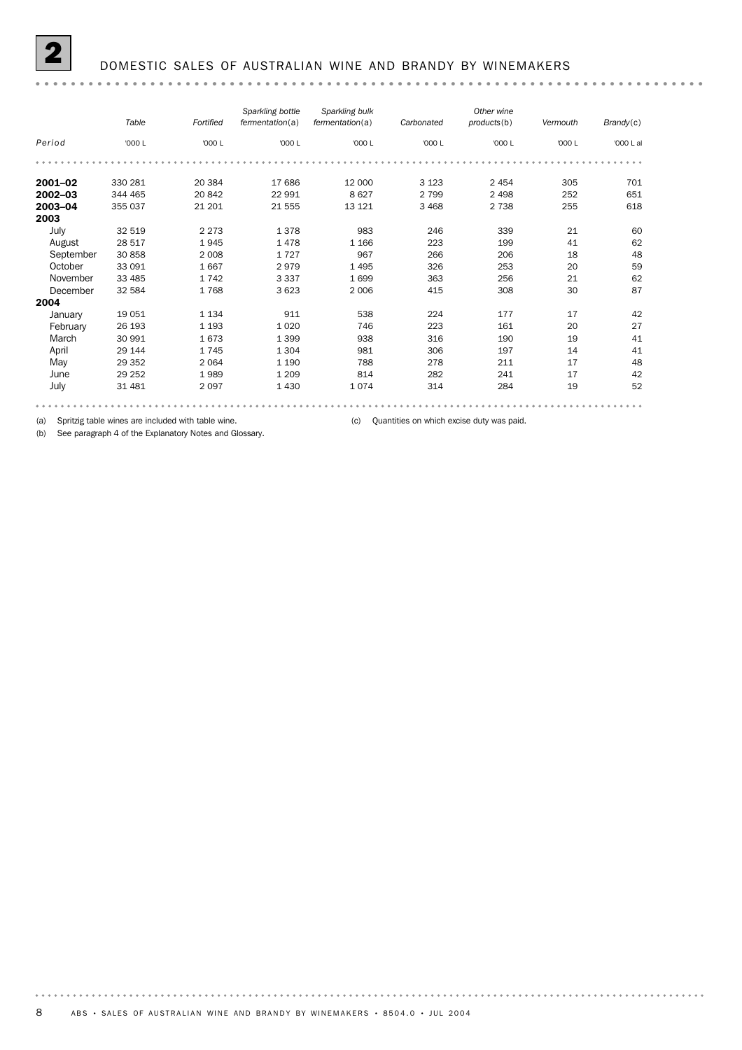#### 2 DOMESTIC SALES OF AUSTRALIAN WINE AND BRANDY BY WINEMAKERS

#### *Sparkling bottle Sparkling bulk Other wine Carbonated products*(b) *Vermouth Brandy*(c) *fermentation*(a) *Table Fortified fermentation*(a) *Period* '000 L '000 L '000 L '000 L '000 L '000 L '000 L '000 L al **2001–02** 330 281 20 384 17 686 12 000 3 123 2 454 305 701 **2002–03** 344 465 20 842 22 991 8 627 2 799 2 498 252 651 **2003–04** 355 037 21 201 21 555 13 121 3 468 2 738 255 618 2003 July 32 519 2 273 1 378 983 246 339 21 60 August 28 517 1 945 1 478 1 166 223 199 41 62 Parameter 30 858 2 008 1 727 967 266 206 18 48<br>1 1 1667 2 979 1 495 326 253 20 59 0010001 1667 2979 1495 326 253 20<br>
November 33 485 1 742 3 337 1 699 363 256 21 62<br>
December 32 584 1 768 3 623 2 006 415 308 30 87 October 33 091 1 667 2 979 1 495 326 253 20 59 December 32 584 1 768 3 623 2 006 415 308 30 87 2004 January 19 051 1 134 911 538 224 177 17 42 February 26 193 1 193 1 020 746 223 161 20 27 March 30 991 1 673 1 399 938 316 190 19 41 April 29 144 1 745 1 304 981 306 197 14 41 May 29 352 2 064 1 190 788 278 211 17 48 June 29 252 1 989 1 209 814 282 241 17 42 July 31 481 2 097 1 430 1 074 314 284 19 52

(a) Spritzig table wines are included with table wine. (c) Quantities on which excise duty was paid.

(b) See paragraph 4 of the Explanatory Notes and Glossary.

. . . . . . . . .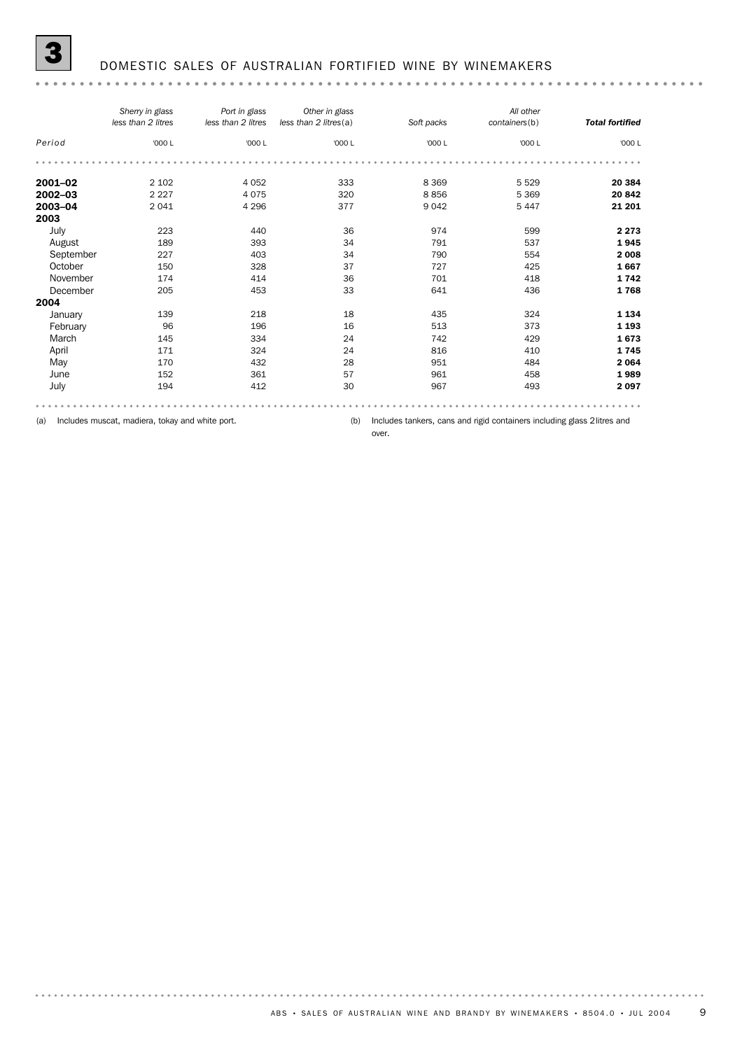### 3 DOMESTIC SALES OF AUSTRALIAN FORTIFIED WINE BY WINEMAKERS

#### 

|             | Sherry in glass<br>less than 2 litres | Port in glass<br>less than 2 litres | Other in glass<br>less than 2 litres(a) | Soft packs | All other<br>containers(b) | <b>Total fortified</b> |
|-------------|---------------------------------------|-------------------------------------|-----------------------------------------|------------|----------------------------|------------------------|
| Period      | '000 L                                | '000 L                              | '000 L                                  | '000 L     | '000 L                     | '000 L                 |
|             |                                       |                                     |                                         |            |                            |                        |
| $2001 - 02$ | 2 1 0 2                               | 4 0 5 2                             | 333                                     | 8 3 6 9    | 5 5 2 9                    | 20 384                 |
| 2002-03     | 2 2 2 7                               | 4075                                | 320                                     | 8856       | 5 3 6 9                    | 20842                  |
| 2003-04     | 2041                                  | 4 2 9 6                             | 377                                     | 9 0 4 2    | 5 4 4 7                    | 21 201                 |
| 2003        |                                       |                                     |                                         |            |                            |                        |
| July        | 223                                   | 440                                 | 36                                      | 974        | 599                        | 2 2 7 3                |
| August      | 189                                   | 393                                 | 34                                      | 791        | 537                        | 1945                   |
| September   | 227                                   | 403                                 | 34                                      | 790        | 554                        | 2 0 0 8                |
| October     | 150                                   | 328                                 | 37                                      | 727        | 425                        | 1667                   |
| November    | 174                                   | 414                                 | 36                                      | 701        | 418                        | 1742                   |
| December    | 205                                   | 453                                 | 33                                      | 641        | 436                        | 1768                   |
| 2004        |                                       |                                     |                                         |            |                            |                        |
| January     | 139                                   | 218                                 | 18                                      | 435        | 324                        | 1 1 3 4                |
| February    | 96                                    | 196                                 | 16                                      | 513        | 373                        | 1 1 9 3                |
| March       | 145                                   | 334                                 | 24                                      | 742        | 429                        | 1673                   |
| April       | 171                                   | 324                                 | 24                                      | 816        | 410                        | 1745                   |
| May         | 170                                   | 432                                 | 28                                      | 951        | 484                        | 2 0 6 4                |
| June        | 152                                   | 361                                 | 57                                      | 961        | 458                        | 1989                   |
| July        | 194                                   | 412                                 | 30                                      | 967        | 493                        | 2097                   |
|             |                                       |                                     |                                         |            |                            | .                      |

(a) Includes muscat, madiera, tokay and white port.

(b) Includes tankers, cans and rigid containers including glass 2 litres and

over.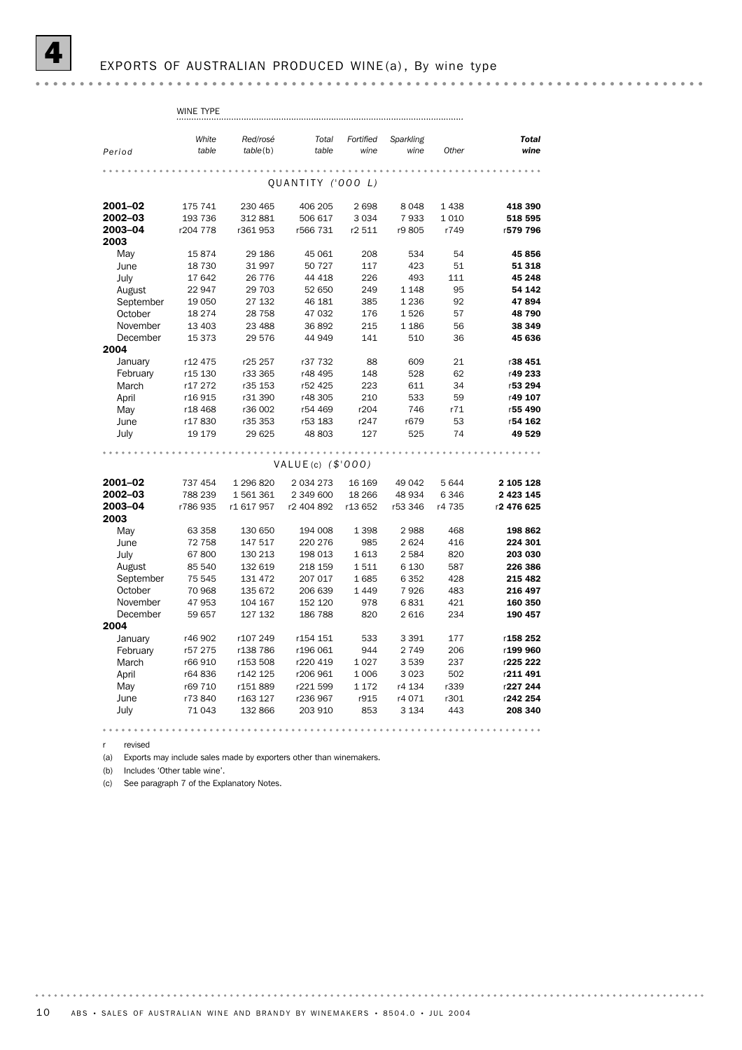revised

(a) Exports may include sales made by exporters other than winemakers.

 $(h)$ Includes 'Other table wine'.

(c) See paragraph 7 of the Explanatory Notes.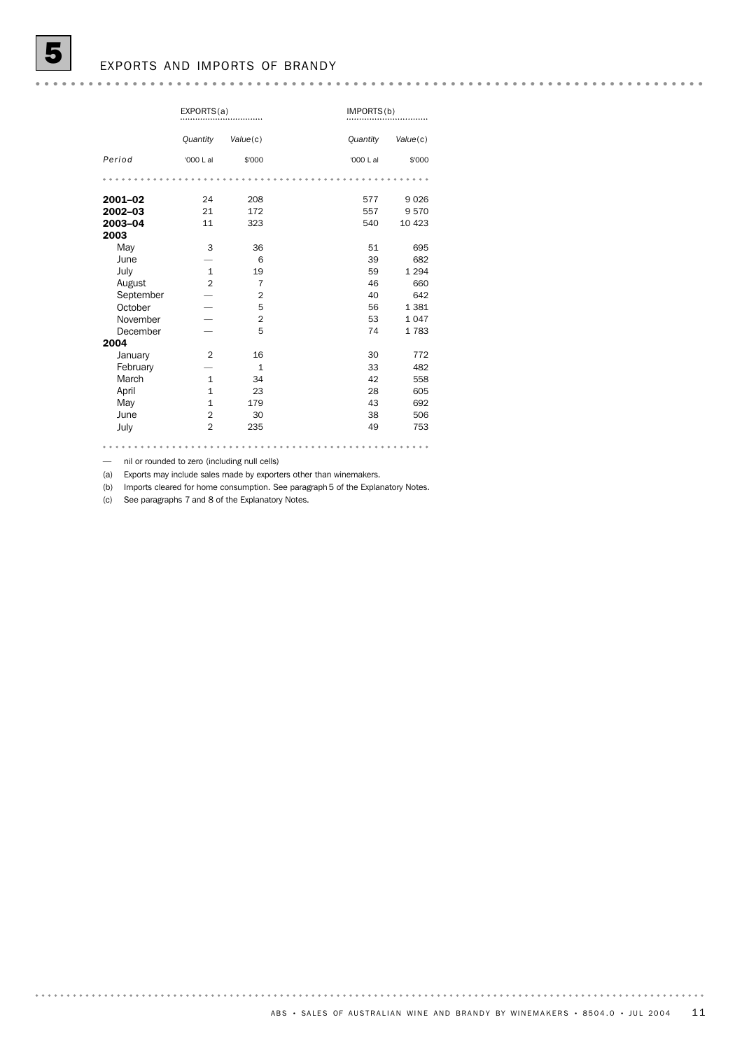### EXPORTS AND IMPORTS OF BRANDY

|           | EXPORTS(a)     |                | IMPORTS(b) |          |
|-----------|----------------|----------------|------------|----------|
|           | Quantity       | Value(c)       | Quantity   | Value(c) |
| Period    | '000 L al      | \$'000         | '000 L al  | \$'000   |
|           |                |                |            |          |
| 2001-02   | 24             | 208            | 577        | 9026     |
| 2002-03   | 21             | 172            | 557        | 9570     |
| 2003-04   | 11             | 323            | 540        | 10 423   |
| 2003      |                |                |            |          |
| May       | 3              | 36             | 51         | 695      |
| June      |                | 6              | 39         | 682      |
| July      | $\mathbf{1}$   | 19             | 59         | 1 2 9 4  |
| August    | $\overline{2}$ | $\overline{7}$ | 46         | 660      |
| September |                | $\overline{2}$ | 40         | 642      |
| October   |                | 5              | 56         | 1 3 8 1  |
| November  |                | $\overline{2}$ | 53         | 1047     |
| December  |                | 5              | 74         | 1783     |
| 2004      |                |                |            |          |
| January   | $\overline{2}$ | 16             | 30         | 772      |
| February  |                | $\mathbf{1}$   | 33         | 482      |
| March     | $\mathbf{1}$   | 34             | 42         | 558      |
| April     | $\mathbf{1}$   | 23             | 28         | 605      |
| May       | $\mathbf{1}$   | 179            | 43         | 692      |
| June      | $\overline{2}$ | 30             | 38         | 506      |
| July      | $\overline{2}$ | 235            | 49         | 753      |
|           |                |                |            |          |

— nil or rounded to zero (including null cells)

(a) Exports may include sales made by exporters other than winemakers.

(b) Imports cleared for home consumption. See paragraph 5 of the Explanatory Notes.

(c) See paragraphs 7 and 8 of the Explanatory Notes.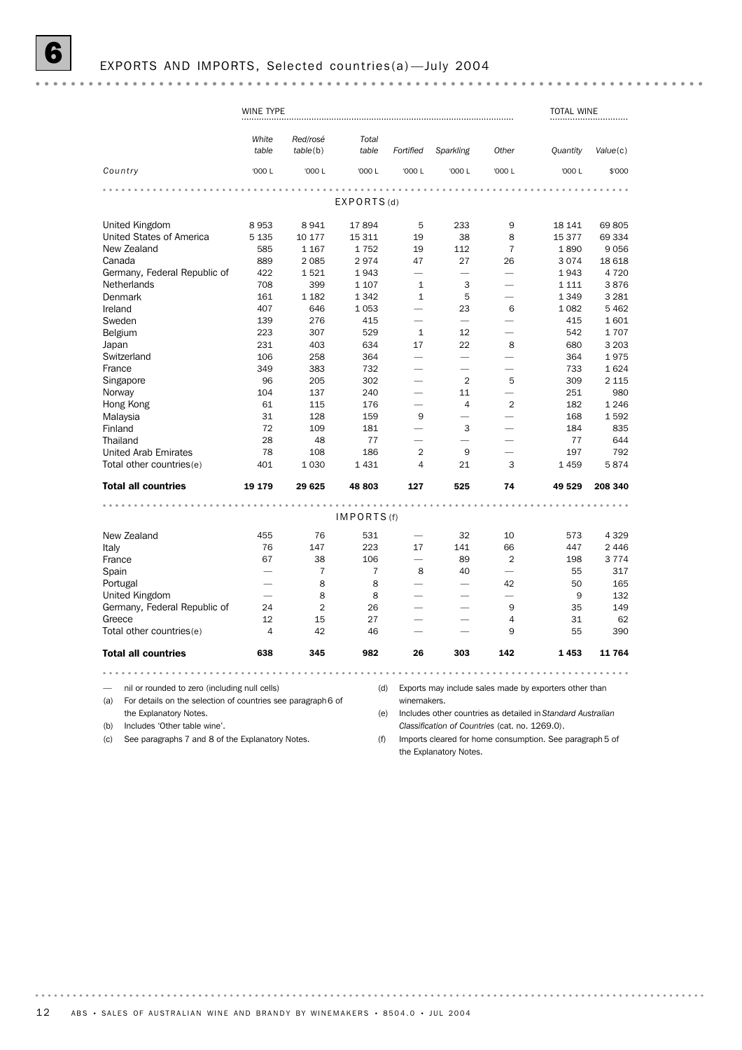# EXPORTS AND IMPORTS, Selected countries(a)-July 2004

|                                                                     | WINE TYPE |                |                       |                          |                          |                          | <b>TOTAL WINE</b>                                           |          |
|---------------------------------------------------------------------|-----------|----------------|-----------------------|--------------------------|--------------------------|--------------------------|-------------------------------------------------------------|----------|
|                                                                     |           |                |                       |                          |                          |                          |                                                             |          |
|                                                                     | White     | Red/rosé       | Total                 |                          |                          |                          |                                                             |          |
|                                                                     | table     | table(b)       | table                 | Fortified                | Sparkling                | Other                    | Quantity                                                    | Value(c) |
| Country                                                             | '000 L    | '000 L         | '000 L                | '000 L                   | '000 L                   | '000 L                   | '000 L                                                      | \$'000   |
|                                                                     |           |                | $- 0 - 0 - 0 - 0 - 0$ |                          |                          |                          |                                                             |          |
|                                                                     |           |                | EXPORTS(d)            |                          |                          |                          |                                                             |          |
| United Kingdom                                                      | 8953      | 8941           | 17894                 | 5                        | 233                      | 9                        | 18 141                                                      | 69 805   |
| United States of America                                            | 5 1 3 5   | 10 177         | 15 311                | 19                       | 38                       | 8                        | 15 377                                                      | 69 334   |
| New Zealand                                                         | 585       | 1 1 6 7        | 1752                  | 19                       | 112                      | $\overline{7}$           | 1890                                                        | 9056     |
| Canada                                                              | 889       | 2 0 8 5        | 2974                  | 47                       | 27                       | 26                       | 3074                                                        | 18 618   |
| Germany, Federal Republic of                                        | 422       | 1521           | 1943                  |                          | $\overline{\phantom{0}}$ | $\overline{\phantom{0}}$ | 1943                                                        | 4 7 2 0  |
| <b>Netherlands</b>                                                  | 708       | 399            | 1 1 0 7               | $\mathbf{1}$             | 3                        | $\overline{\phantom{0}}$ | 1 1 1 1                                                     | 3876     |
| Denmark                                                             | 161       | 1 1 8 2        | 1 3 4 2               | $\mathbf{1}$             | 5                        | $\overline{\phantom{0}}$ | 1 3 4 9                                                     | 3 2 8 1  |
| Ireland                                                             | 407       | 646            | 1 0 5 3               | $\overline{\phantom{0}}$ | 23                       | 6                        | 1 0 8 2                                                     | 5 4 6 2  |
| Sweden                                                              | 139       | 276            | 415                   | $\overline{\phantom{0}}$ | $\overline{\phantom{0}}$ |                          | 415                                                         | 1601     |
| Belgium                                                             | 223       | 307            | 529                   | $\mathbf{1}$             | 12                       |                          | 542                                                         | 1707     |
| Japan                                                               | 231       | 403            | 634                   | 17                       | 22                       | 8                        | 680                                                         | 3 2 0 3  |
| Switzerland                                                         | 106       | 258            | 364                   |                          | $\overline{\phantom{0}}$ |                          | 364                                                         | 1975     |
| France                                                              | 349       | 383            | 732                   | –                        | $\overline{\phantom{0}}$ | $\overline{\phantom{0}}$ | 733                                                         | 1624     |
| Singapore                                                           | 96        | 205            | 302                   |                          | $\overline{2}$           | 5                        | 309                                                         | 2 1 1 5  |
| Norway                                                              | 104       | 137            | 240                   | –                        | 11                       | $\overline{\phantom{0}}$ | 251                                                         | 980      |
| Hong Kong                                                           | 61        | 115            | 176                   | $\overline{\phantom{0}}$ | $\overline{4}$           | $\overline{2}$           | 182                                                         | 1 2 4 6  |
|                                                                     | 31        | 128            | 159                   | 9                        | $\overline{\phantom{0}}$ |                          | 168                                                         | 1592     |
| Malaysia<br>Finland                                                 | 72        | 109            | 181                   | $\overline{\phantom{0}}$ | 3                        | $\overline{\phantom{0}}$ | 184                                                         | 835      |
| Thailand                                                            | 28        | 48             | 77                    | $\overline{\phantom{0}}$ | $\overline{\phantom{0}}$ |                          | 77                                                          | 644      |
|                                                                     |           |                |                       |                          |                          | $\overline{\phantom{0}}$ |                                                             |          |
| <b>United Arab Emirates</b>                                         | 78        | 108            | 186                   | $\overline{2}$           | 9                        |                          | 197                                                         | 792      |
| Total other countries(e)                                            | 401       | 1 0 3 0        | 1431                  | 4                        | 21                       | 3                        | 1459                                                        | 5874     |
| <b>Total all countries</b>                                          | 19 179    | 29 6 25        | 48 803                | 127                      | 525                      | 74                       | 49 529                                                      | 208 340  |
|                                                                     |           |                | $- - - - - - - -$     | $-0.00$                  |                          |                          |                                                             |          |
|                                                                     |           |                | IMPORTS (f)           |                          |                          |                          |                                                             |          |
| New Zealand                                                         | 455       | 76             | 531                   | $\overline{\phantom{0}}$ | 32                       | 10                       | 573                                                         | 4 3 2 9  |
| Italy                                                               | 76        | 147            | 223                   | 17                       | 141                      | 66                       | 447                                                         | 2 4 4 6  |
| France                                                              | 67        | 38             | 106                   | $\overline{\phantom{0}}$ | 89                       | $\overline{2}$           | 198                                                         | 3 7 7 4  |
| Spain                                                               |           | $\overline{7}$ | $\overline{7}$        | 8                        | 40                       |                          | 55                                                          | 317      |
| Portugal                                                            |           | 8              | 8                     |                          |                          | 42                       | 50                                                          | 165      |
| United Kingdom                                                      |           | 8              | 8                     |                          |                          |                          | 9                                                           | 132      |
| Germany, Federal Republic of                                        | 24        | $\overline{2}$ | 26                    |                          |                          | 9                        | 35                                                          | 149      |
| Greece                                                              | 12        | 15             | 27                    |                          |                          | $\overline{4}$           | 31                                                          | 62       |
| Total other countries(e)                                            | 4         | 42             | 46                    |                          |                          | 9                        | 55                                                          | 390      |
| <b>Total all countries</b>                                          | 638       | 345            | 982                   | 26                       | 303                      | 142                      | 1453                                                        | 11 764   |
| .                                                                   |           | .              |                       |                          |                          | .                        | $-0.0.0.0.0$                                                |          |
| nil or rounded to zero (including null cells)                       |           |                | (d)                   |                          |                          |                          | Exports may include sales made by exporters other than      |          |
| (a)<br>For details on the selection of countries see paragraph 6 of |           |                |                       | winemakers.              |                          |                          |                                                             |          |
| the Explanatory Notes.                                              |           |                | (e)                   |                          |                          |                          | Includes other countries as detailed in Standard Australian |          |

(b) Includes 'Other table wine'.

(c) See paragraphs 7 and 8 of the Explanatory Notes.

*Classification of Countries* (cat. no. 1269.0).

(f) Imports cleared for home consumption. See paragraph 5 of the Explanatory Notes.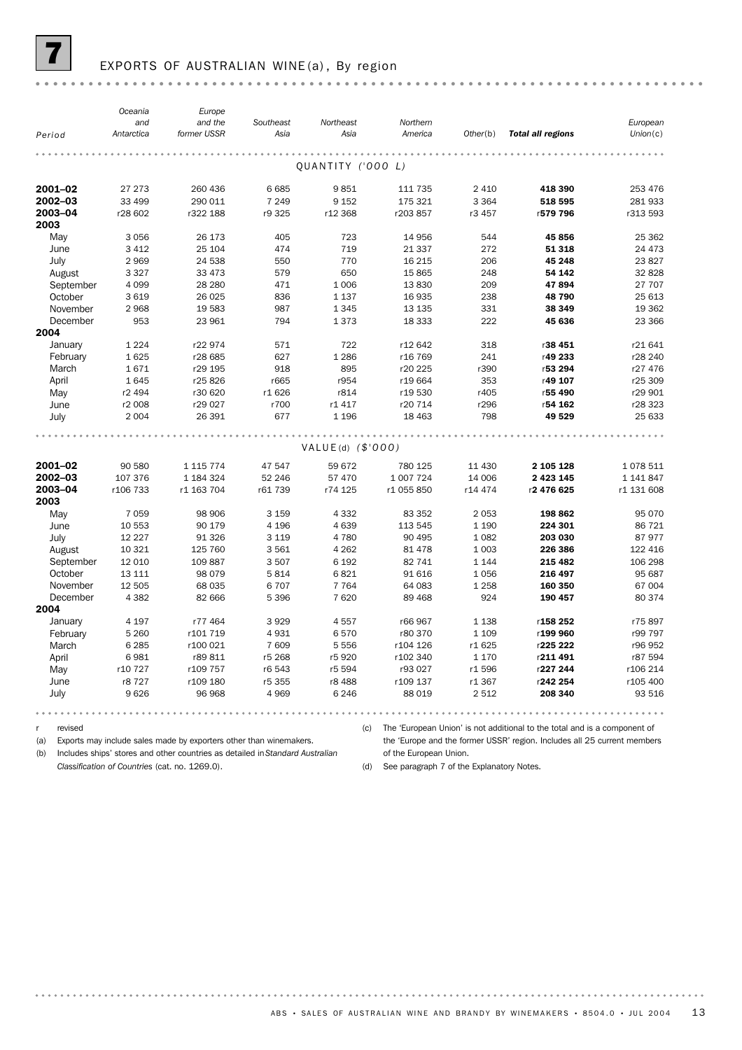

### EXPORTS OF AUSTRALIAN WINE(a), By region

|                  | Oceania<br>and | Europe<br>and the | Southeast | Northeast           | Northern   |          |                          | European   |
|------------------|----------------|-------------------|-----------|---------------------|------------|----------|--------------------------|------------|
| Period           | Antarctica     | former USSR       | Asia      | Asia                | America    | Other(b) | <b>Total all regions</b> | Union(c)   |
|                  |                |                   |           |                     |            |          |                          |            |
|                  |                |                   |           | QUANTITY ('000 L)   |            |          |                          |            |
| 2001-02          | 27 273         | 260 436           | 6 6 8 5   | 9851                | 111 735    | 2 4 1 0  | 418 390                  | 253 476    |
| 2002-03          | 33 499         | 290 011           | 7 2 4 9   | 9 1 5 2             | 175 321    | 3 3 6 4  | 518 595                  | 281 933    |
| 2003-04<br>2003  | r28 602        | r322 188          | r9 325    | r12 368             | r203857    | r3 457   | r579 796                 | r313 593   |
| May              | 3 0 5 6        | 26 173            | 405       | 723                 | 14 9 56    | 544      | 45 856                   | 25 362     |
| June             | 3 4 1 2        | 25 104            | 474       | 719                 | 21 3 37    | 272      | 51 318                   | 24 473     |
| July             | 2969           | 24 538            | 550       | 770                 | 16 215     | 206      | 45 248                   | 23827      |
| August           | 3 3 2 7        | 33 473            | 579       | 650                 | 15 865     | 248      | 54 142                   | 32 828     |
| September        | 4 0 9 9        | 28 280            | 471       | 1 0 0 6             | 13830      | 209      | 47894                    | 27 707     |
| October          | 3 6 1 9        | 26 0 25           | 836       | 1 1 3 7             | 16 935     | 238      | 48 790                   | 25 613     |
| November         | 2968           | 19 583            | 987       | 1 3 4 5             | 13 135     | 331      | 38 349                   | 19 362     |
| December<br>2004 | 953            | 23 961            | 794       | 1373                | 18 3 33    | 222      | 45 636                   | 23 366     |
| January          | 1 2 2 4        | r22 974           | 571       | 722                 | r12 642    | 318      | r38 451                  | r21641     |
| February         | 1625           | r28 685           | 627       | 1 2 8 6             | r16 769    | 241      | r49 233                  | r28 240    |
| March            | 1671           | r29 195           | 918       | 895                 | r20 225    | r390     | r53 294                  | r27 476    |
| April            | 1645           | r25826            | r665      | r954                | r19 664    | 353      | r49 107                  | r25 309    |
| May              | r2 494         | r30 620           | r1 626    | r814                | r19 530    | r405     | r55 490                  | r29 901    |
| June             | r2 008         | r29 027           | r700      | r1 417              | r20 714    | r296     | r54 162                  | r28 323    |
| July             | 2 0 0 4        | 26 391            | 677       | 1 1 9 6             | 18 4 63    | 798      | 49 529                   | 25 633     |
|                  |                |                   |           |                     |            |          |                          |            |
|                  |                |                   |           | $VALUE(d)$ (\$'000) |            |          |                          |            |
| 2001-02          | 90 580         | 1 115 774         | 47 547    | 59 672              | 780 125    | 11 430   | 2 105 128                | 1078511    |
| 2002-03          | 107 376        | 1 184 324         | 52 246    | 57 470              | 1 007 724  | 14 006   | 2 4 2 3 1 4 5            | 1 141 847  |
| 2003-04          | r106 733       | r1 163 704        | r61 739   | r74 125             | r1 055 850 | r14 474  | r2 476 625               | r1 131 608 |
| 2003             |                |                   |           |                     |            |          |                          |            |
| May              | 7 0 5 9        | 98 906            | 3 1 5 9   | 4 3 3 2             | 83 352     | 2 0 5 3  | 198 862                  | 95 070     |
| June             | 10 553         | 90 179            | 4 1 9 6   | 4 6 3 9             | 113 545    | 1 1 9 0  | 224 301                  | 86 721     |
| July             | 12 2 2 7       | 91 326            | 3 1 1 9   | 4 7 8 0             | 90 4 95    | 1 0 8 2  | 203 030                  | 87 977     |
| August           | 10 321         | 125 760           | 3 5 6 1   | 4 2 6 2             | 81 478     | 1 0 0 3  | 226 386                  | 122 416    |
| September        | 12 010         | 109 887           | 3 5 0 7   | 6 1 9 2             | 82 741     | 1 1 4 4  | 215 482                  | 106 298    |
| October          | 13 111         | 98 0 79           | 5814      | 6821                | 91 616     | 1056     | 216 497                  | 95 687     |
| November         | 12 505         | 68 035            | 6707      | 7 7 6 4             | 64 083     | 1 2 5 8  | 160 350                  | 67 004     |
| December         | 4 3 8 2        | 82 666            | 5 3 9 6   | 7620                | 89 4 68    | 924      | 190 457                  | 80 374     |
| 2004             |                |                   |           |                     |            |          |                          |            |
| January          | 4 1 9 7        | r77 464           | 3929      | 4557                | r66 967    | 1 1 3 8  | r158 252                 | r75897     |
| February         | 5 2 6 0        | r101 719          | 4931      | 6570                | r80 370    | 1 1 0 9  | r199 960                 | r99 797    |
| March            | 6 2 8 5        | r100 021          | 7 609     | 5 5 5 6             | r104 126   | r1 625   | r225 222                 | r96 952    |
| April            | 6981           | r89811            | r5 268    | r5 920              | r102 340   | 1 1 7 0  | r211491                  | r87 594    |
| May              | r10 727        | r109 757          | r6 543    | r5 594              | r93 027    | r1596    | r227 244                 | r106 214   |
| June             | r8 727         | r109 180          | r5 355    | r8 488              | r109 137   | r1 367   | r242 254                 | r105 400   |
| July             | 9626           | 96 968            | 4 9 6 9   | 6 2 4 6             | 88 019     | 2 5 1 2  | 208 340                  | 93 516     |
|                  |                |                   |           |                     |            |          |                          |            |

revised  $\mathsf r$ 

(c) The 'European Union' is not additional to the total and is a component of

the 'Europe and the former USSR' region. Includes all 25 current members of the European Union.

(b) Includes ships' stores and other countries as detailed in Standard Australian

(a) Exports may include sales made by exporters other than winemakers.

Classification of Countries (cat. no. 1269.0).

(d) See paragraph 7 of the Explanatory Notes.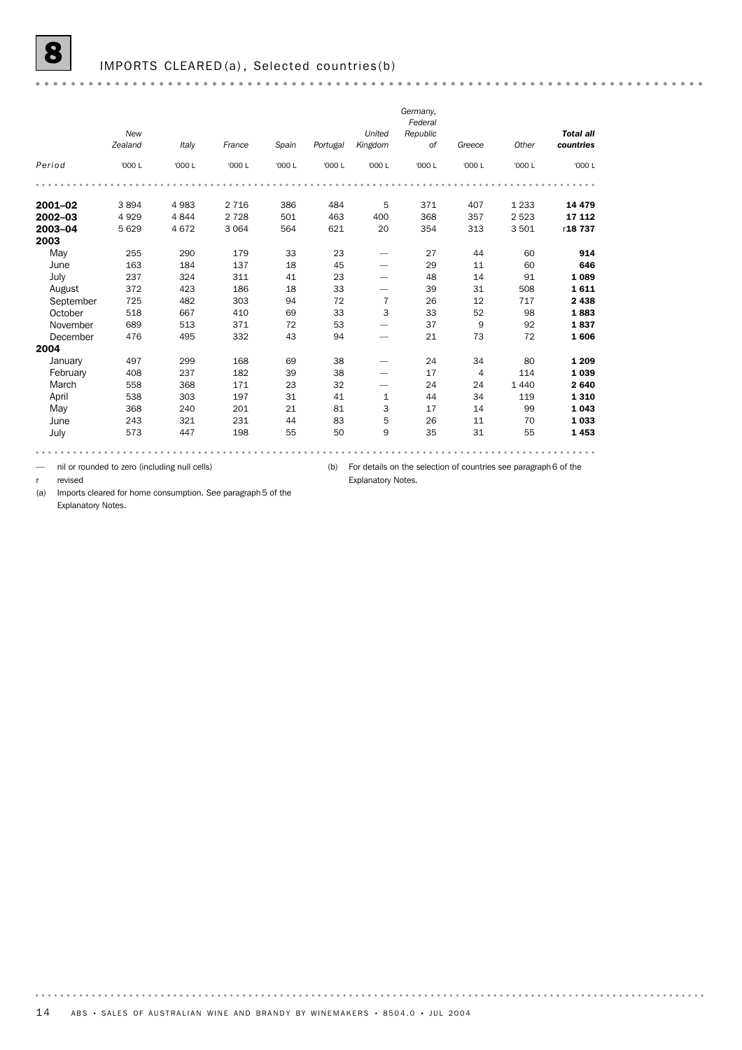| <b>Total all</b> |         |                | Federal<br>Republic | United         |          |        |         |         | New     |           |
|------------------|---------|----------------|---------------------|----------------|----------|--------|---------|---------|---------|-----------|
| countries        | Other   | Greece         | 0f                  | Kingdom        | Portugal | Spain  | France  | Italy   | Zealand |           |
| '000 L           | '000 L  | '000 L         | '000 L              | '000 L         | '000 L   | '000 L | '000 L  | '000 L  | '000 L  | Period    |
|                  |         |                |                     |                |          |        |         |         |         |           |
| 14 4 79          | 1 2 3 3 | 407            | 371                 | 5              | 484      | 386    | 2 7 1 6 | 4 9 8 3 | 3894    | 2001-02   |
| 17 112           | 2 5 2 3 | 357            | 368                 | 400            | 463      | 501    | 2 7 2 8 | 4844    | 4929    | 2002-03   |
| r18737           | 3501    | 313            | 354                 | 20             | 621      | 564    | 3 0 6 4 | 4672    | 5 6 2 9 | 2003-04   |
|                  |         |                |                     |                |          |        |         |         |         | 2003      |
| 60<br>914        |         | 44             | 27                  |                | 23       | 33     | 179     | 290     | 255     | May       |
| 646<br>60        |         | 11             | 29                  |                | 45       | 18     | 137     | 184     | 163     | June      |
| 91<br>1089       |         | 14             | 48                  |                | 23       | 41     | 311     | 324     | 237     | July      |
| 508<br>1611      |         | 31             | 39                  |                | 33       | 18     | 186     | 423     | 372     | August    |
| 717<br>2438      |         | 12             | 26                  | $\overline{7}$ | 72       | 94     | 303     | 482     | 725     | September |
| 98<br>1883       |         | 52             | 33                  | 3              | 33       | 69     | 410     | 667     | 518     | October   |
| 92<br>1837       |         | 9              | 37                  |                | 53       | 72     | 371     | 513     | 689     | November  |
| 72<br>1606       |         | 73             | 21                  |                | 94       | 43     | 332     | 495     | 476     | December  |
|                  |         |                |                     |                |          |        |         |         |         | 2004      |
| 80<br>1 2 0 9    |         | 34             | 24                  |                | 38       | 69     | 168     | 299     | 497     | January   |
| 114<br>1039      |         | $\overline{4}$ | 17                  |                | 38       | 39     | 182     | 237     | 408     | February  |
| 2640             | 1 4 4 0 | 24             | 24                  |                | 32       | 23     | 171     | 368     | 558     | March     |
| 119<br>1310      |         | 34             | 44                  | $\mathbf{1}$   | 41       | 31     | 197     | 303     | 538     | April     |
| 99<br>1043       |         | 14             | 17                  | 3              | 81       | 21     | 201     | 240     | 368     | May       |
| 1033<br>70       |         | 11             | 26                  | 5              | 83       | 44     | 231     | 321     | 243     | June      |
| 55<br>1453       |         | 31             | 35                  | 9              | 50       | 55     | 198     | 447     | 573     | July      |

— nil or rounded to zero (including null cells)

(b) For details on the selection of countries see paragraph 6 of the

Explanatory Notes.

r revised

(a) Imports cleared for home consumption. See paragraph 5 of the

Explanatory Notes.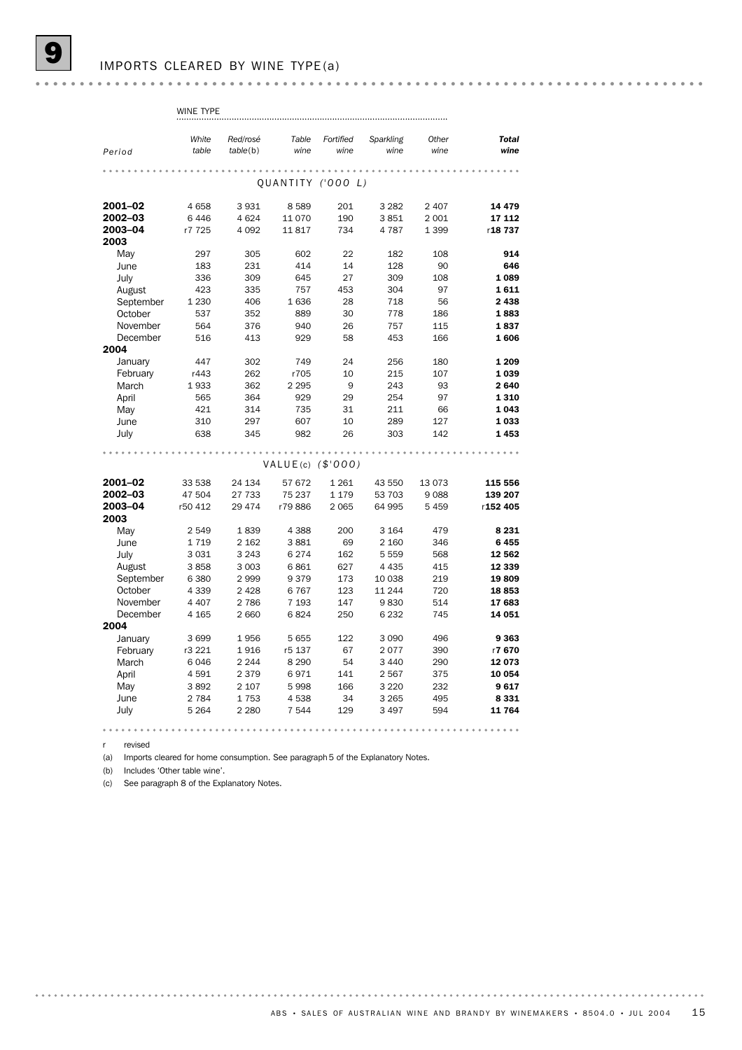|           | WINE TYPE      |          |                      |                   |                   |               |                      |
|-----------|----------------|----------|----------------------|-------------------|-------------------|---------------|----------------------|
|           |                |          |                      |                   |                   |               |                      |
|           | White<br>table | Red/rosé | Table<br>wine        | Fortified<br>wine | Sparkling<br>wine | Other<br>wine | <b>Total</b><br>wine |
| Period    |                | table(b) |                      |                   |                   |               |                      |
|           |                |          |                      |                   |                   |               |                      |
|           |                |          | QUANTITY ('000 L)    |                   |                   |               |                      |
| 2001-02   | 4658           | 3931     | 8589                 | 201               | 3 2 8 2           | 2 4 0 7       | 14 4 79              |
| 2002-03   | 6446           | 4624     | 11 070               | 190               | 3851              | 2 0 0 1       | 17 112               |
| 2003-04   | r7 725         | 4 0 9 2  | 11817                | 734               | 4 7 8 7           | 1 3 9 9       | r18737               |
| 2003      |                |          |                      |                   |                   |               |                      |
| May       | 297            | 305      | 602                  | 22                | 182               | 108           | 914                  |
| June      | 183            | 231      | 414                  | 14                | 128               | 90            | 646                  |
| July      | 336            | 309      | 645                  | 27                | 309               | 108           | 1089                 |
| August    | 423            | 335      | 757                  | 453               | 304               | 97            | 1611                 |
| September | 1 2 3 0        | 406      | 1636                 | 28                | 718               | 56            | 2438                 |
| October   | 537            | 352      | 889                  | 30                | 778               | 186           | 1883                 |
| November  | 564            | 376      | 940                  | 26                | 757               | 115           | 1837                 |
| December  | 516            | 413      | 929                  | 58                | 453               | 166           | 1606                 |
| 2004      |                |          |                      |                   |                   |               |                      |
| January   | 447            | 302      | 749                  | 24                | 256               | 180           | 1 2 0 9              |
| February  | r443           | 262      | r705                 | 10                | 215               | 107           | 1039                 |
| March     | 1933           | 362      | 2 2 9 5              | 9                 | 243               | 93            | 2640                 |
| April     | 565            | 364      | 929                  | 29                | 254               | 97            | 1310                 |
| May       | 421            | 314      | 735                  | 31                | 211               | 66            | 1043                 |
| June      | 310            | 297      | 607                  | 10                | 289               | 127           | 1033                 |
| July      | 638            | 345      | 982                  | 26                | 303               | 142           | 1453                 |
|           |                |          |                      |                   |                   |               |                      |
|           |                |          | VALUE(c) $($ \$'000) |                   |                   |               |                      |
| 2001-02   | 33 538         | 24 134   | 57 672               | 1 2 6 1           | 43 550            | 13073         | 115 556              |
| 2002-03   | 47 504         | 27 733   | 75 237               | 1 1 7 9           | 53 703            | 9088          | 139 207              |
| 2003-04   | r50 412        | 29 4 7 4 | r79886               | 2 0 6 5           | 64 995            | 5 4 5 9       | r152 405             |
| 2003      |                |          |                      |                   |                   |               |                      |
| May       | 2 5 4 9        | 1839     | 4 3 8 8              | 200               | 3 1 6 4           | 479           | 8 2 3 1              |
| June      | 1719           | 2 1 6 2  | 3881                 | 69                | 2 160             | 346           | 6455                 |
| July      | 3031           | 3 2 4 3  | 6274                 | 162               | 5 5 5 9           | 568           | 12 562               |
| August    | 3858           | 3 0 0 3  | 6861                 | 627               | 4 4 3 5           | 415           | 12 339               |
| September | 6 3 8 0        | 2999     | 9379                 | 173               | 10 038            | 219           | 19809                |
| October   | 4 3 3 9        | 2 4 2 8  | 6767                 | 123               | 11 244            | 720           | 18853                |
| November  | 4 4 0 7        | 2 7 8 6  | 7 1 9 3              | 147               | 9830              | 514           | 17 683               |
| December  | 4 1 6 5        | 2 6 6 0  | 6824                 | 250               | 6 2 3 2           | 745           | 14 051               |
| 2004      |                |          |                      |                   |                   |               |                      |
| January   | 3699           | 1956     | 5 6 5 5              | 122               | 3 0 9 0           | 496           | 9363                 |
| February  | r3 221         | 1916     | r5 137               | 67                | 2 0 7 7           | 390           | r7 670               |
| March     | 6046           | 2 2 4 4  | 8 2 9 0              | 54                | 3 4 4 0           | 290           | 12073                |
| April     | 4591           | 2 3 7 9  | 6971                 | 141               | 2 5 6 7           | 375           | 10 054               |
| May       | 3892           | 2 107    | 5998                 | 166               | 3 2 2 0           | 232           | 9617                 |
| June      | 2 7 8 4        | 1753     | 4538                 | 34                | 3 2 6 5           | 495           | 8331                 |
| July      | 5 2 6 4        | 2 2 8 0  | 7 5 4 4              | 129               | 3 4 9 7           | 594           | 11 764               |
|           |                |          |                      |                   |                   |               |                      |

r revised

(a) Imports cleared for home consumption. See paragraph 5 of the Explanatory Notes.

(b) Includes 'Other table wine'.

(c) See paragraph 8 of the Explanatory Notes.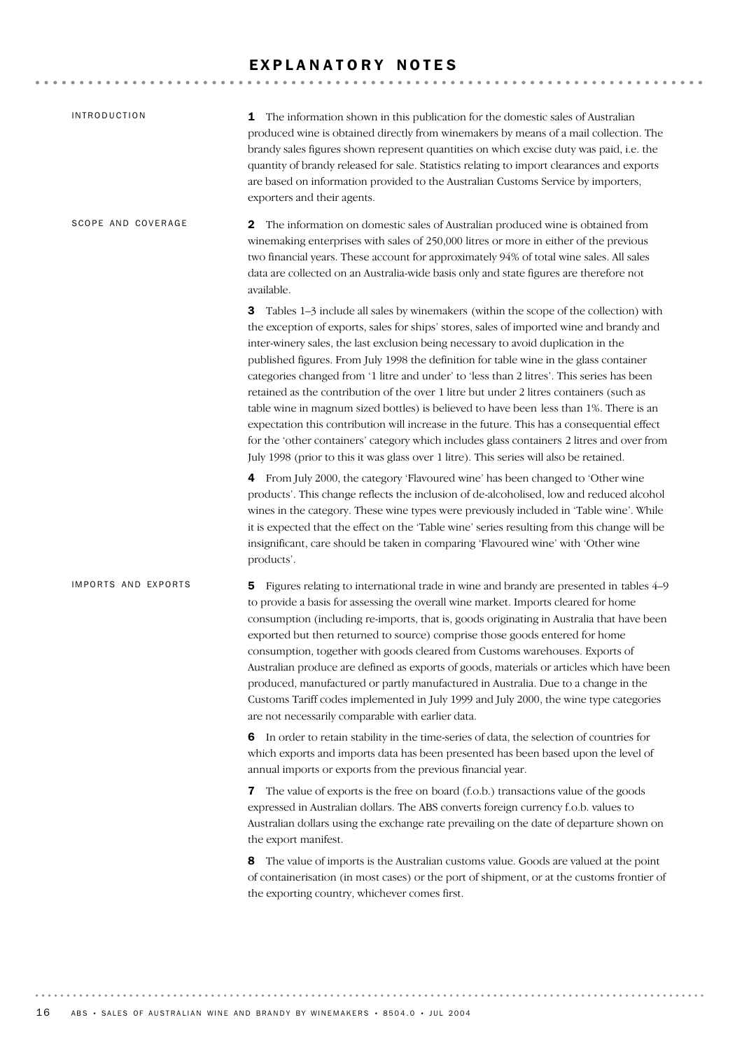# EXPLANATORY NOTES

| <b>INTRODUCTION</b> | 1 The information shown in this publication for the domestic sales of Australian<br>produced wine is obtained directly from winemakers by means of a mail collection. The<br>brandy sales figures shown represent quantities on which excise duty was paid, i.e. the<br>quantity of brandy released for sale. Statistics relating to import clearances and exports<br>are based on information provided to the Australian Customs Service by importers,<br>exporters and their agents.                                                                                                                                                                                                                                                                                                                                                                                                                                                         |
|---------------------|------------------------------------------------------------------------------------------------------------------------------------------------------------------------------------------------------------------------------------------------------------------------------------------------------------------------------------------------------------------------------------------------------------------------------------------------------------------------------------------------------------------------------------------------------------------------------------------------------------------------------------------------------------------------------------------------------------------------------------------------------------------------------------------------------------------------------------------------------------------------------------------------------------------------------------------------|
| SCOPE AND COVERAGE  | 2<br>The information on domestic sales of Australian produced wine is obtained from<br>winemaking enterprises with sales of 250,000 litres or more in either of the previous<br>two financial years. These account for approximately 94% of total wine sales. All sales<br>data are collected on an Australia-wide basis only and state figures are therefore not<br>available.                                                                                                                                                                                                                                                                                                                                                                                                                                                                                                                                                                |
|                     | 3<br>Tables 1-3 include all sales by winemakers (within the scope of the collection) with<br>the exception of exports, sales for ships' stores, sales of imported wine and brandy and<br>inter-winery sales, the last exclusion being necessary to avoid duplication in the<br>published figures. From July 1998 the definition for table wine in the glass container<br>categories changed from '1 litre and under' to 'less than 2 litres'. This series has been<br>retained as the contribution of the over 1 litre but under 2 litres containers (such as<br>table wine in magnum sized bottles) is believed to have been less than 1%. There is an<br>expectation this contribution will increase in the future. This has a consequential effect<br>for the 'other containers' category which includes glass containers 2 litres and over from<br>July 1998 (prior to this it was glass over 1 litre). This series will also be retained. |
|                     | 4 From July 2000, the category 'Flavoured wine' has been changed to 'Other wine<br>products'. This change reflects the inclusion of de-alcoholised, low and reduced alcohol<br>wines in the category. These wine types were previously included in 'Table wine'. While<br>it is expected that the effect on the 'Table wine' series resulting from this change will be<br>insignificant, care should be taken in comparing 'Flavoured wine' with 'Other wine<br>products'.                                                                                                                                                                                                                                                                                                                                                                                                                                                                     |
| IMPORTS AND EXPORTS | 5 Figures relating to international trade in wine and brandy are presented in tables 4–9<br>to provide a basis for assessing the overall wine market. Imports cleared for home<br>consumption (including re-imports, that is, goods originating in Australia that have been<br>exported but then returned to source) comprise those goods entered for home<br>consumption, together with goods cleared from Customs warehouses. Exports of<br>Australian produce are defined as exports of goods, materials or articles which have been<br>produced, manufactured or partly manufactured in Australia. Due to a change in the<br>Customs Tariff codes implemented in July 1999 and July 2000, the wine type categories<br>are not necessarily comparable with earlier data.                                                                                                                                                                    |
|                     | 6 In order to retain stability in the time-series of data, the selection of countries for<br>which exports and imports data has been presented has been based upon the level of<br>annual imports or exports from the previous financial year.                                                                                                                                                                                                                                                                                                                                                                                                                                                                                                                                                                                                                                                                                                 |
|                     | <b>7</b> The value of exports is the free on board (f.o.b.) transactions value of the goods<br>expressed in Australian dollars. The ABS converts foreign currency f.o.b. values to<br>Australian dollars using the exchange rate prevailing on the date of departure shown on<br>the export manifest.                                                                                                                                                                                                                                                                                                                                                                                                                                                                                                                                                                                                                                          |
|                     | The value of imports is the Australian customs value. Goods are valued at the point<br>8<br>of containerisation (in most cases) or the port of shipment, or at the customs frontier of<br>the exporting country, whichever comes first.                                                                                                                                                                                                                                                                                                                                                                                                                                                                                                                                                                                                                                                                                                        |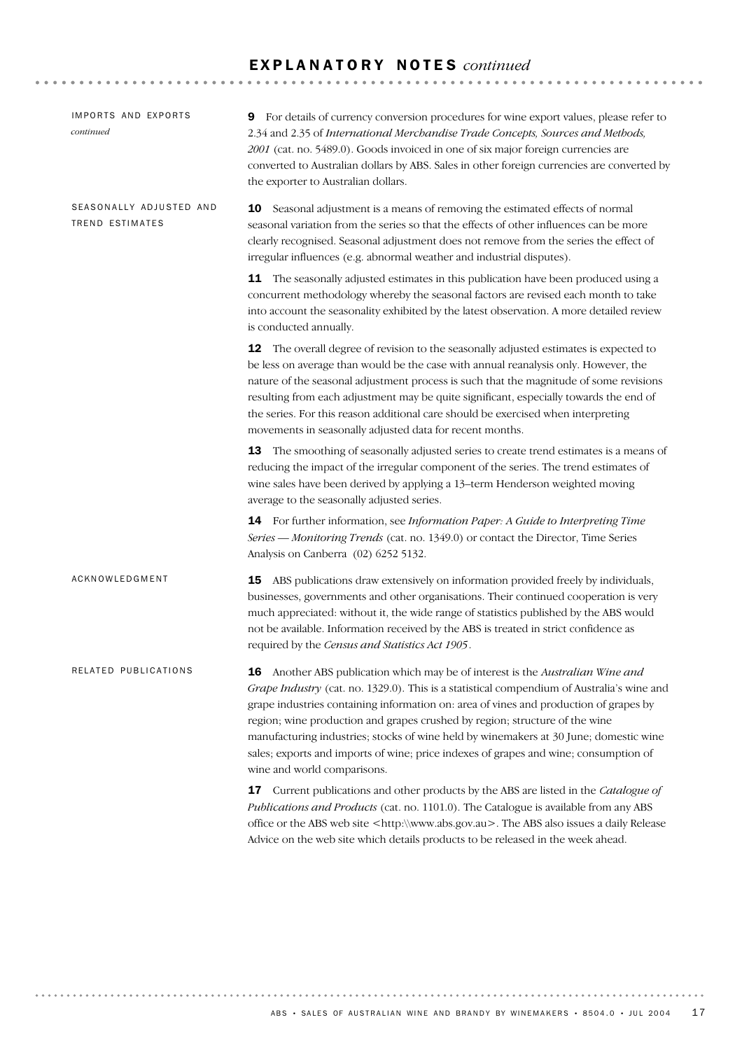# E X P L A N A T O R Y N O T E S *continued*

| IMPORTS AND EXPORTS<br>continued           | For details of currency conversion procedures for wine export values, please refer to<br>9<br>2.34 and 2.35 of International Merchandise Trade Concepts, Sources and Methods,<br>2001 (cat. no. 5489.0). Goods invoiced in one of six major foreign currencies are<br>converted to Australian dollars by ABS. Sales in other foreign currencies are converted by<br>the exporter to Australian dollars.                                                                                                                                                                     |
|--------------------------------------------|-----------------------------------------------------------------------------------------------------------------------------------------------------------------------------------------------------------------------------------------------------------------------------------------------------------------------------------------------------------------------------------------------------------------------------------------------------------------------------------------------------------------------------------------------------------------------------|
| SEASONALLY ADJUSTED AND<br>TREND ESTIMATES | Seasonal adjustment is a means of removing the estimated effects of normal<br>10<br>seasonal variation from the series so that the effects of other influences can be more<br>clearly recognised. Seasonal adjustment does not remove from the series the effect of<br>irregular influences (e.g. abnormal weather and industrial disputes).                                                                                                                                                                                                                                |
|                                            | <b>11</b> The seasonally adjusted estimates in this publication have been produced using a<br>concurrent methodology whereby the seasonal factors are revised each month to take<br>into account the seasonality exhibited by the latest observation. A more detailed review<br>is conducted annually.                                                                                                                                                                                                                                                                      |
|                                            | 12 The overall degree of revision to the seasonally adjusted estimates is expected to<br>be less on average than would be the case with annual reanalysis only. However, the<br>nature of the seasonal adjustment process is such that the magnitude of some revisions<br>resulting from each adjustment may be quite significant, especially towards the end of<br>the series. For this reason additional care should be exercised when interpreting<br>movements in seasonally adjusted data for recent months.                                                           |
|                                            | 13 The smoothing of seasonally adjusted series to create trend estimates is a means of<br>reducing the impact of the irregular component of the series. The trend estimates of<br>wine sales have been derived by applying a 13-term Henderson weighted moving<br>average to the seasonally adjusted series.                                                                                                                                                                                                                                                                |
|                                            | <b>14</b> For further information, see <i>Information Paper: A Guide to Interpreting Time</i><br>Series - Monitoring Trends (cat. no. 1349.0) or contact the Director, Time Series<br>Analysis on Canberra (02) 6252 5132.                                                                                                                                                                                                                                                                                                                                                  |
| ACKNOWLEDGMENT                             | <b>15</b> ABS publications draw extensively on information provided freely by individuals,<br>businesses, governments and other organisations. Their continued cooperation is very<br>much appreciated: without it, the wide range of statistics published by the ABS would<br>not be available. Information received by the ABS is treated in strict confidence as<br>required by the Census and Statistics Act 1905.                                                                                                                                                      |
| RELATED PUBLICATIONS                       | <b>16</b> Another ABS publication which may be of interest is the Australian Wine and<br>Grape Industry (cat. no. 1329.0). This is a statistical compendium of Australia's wine and<br>grape industries containing information on: area of vines and production of grapes by<br>region; wine production and grapes crushed by region; structure of the wine<br>manufacturing industries; stocks of wine held by winemakers at 30 June; domestic wine<br>sales; exports and imports of wine; price indexes of grapes and wine; consumption of<br>wine and world comparisons. |
|                                            | 17 Current publications and other products by the ABS are listed in the Catalogue of<br>Publications and Products (cat. no. 1101.0). The Catalogue is available from any ABS<br>office or the ABS web site <http:\\www.abs.gov.au>. The ABS also issues a daily Release<br/>Advice on the web site which details products to be released in the week ahead.</http:\\www.abs.gov.au>                                                                                                                                                                                         |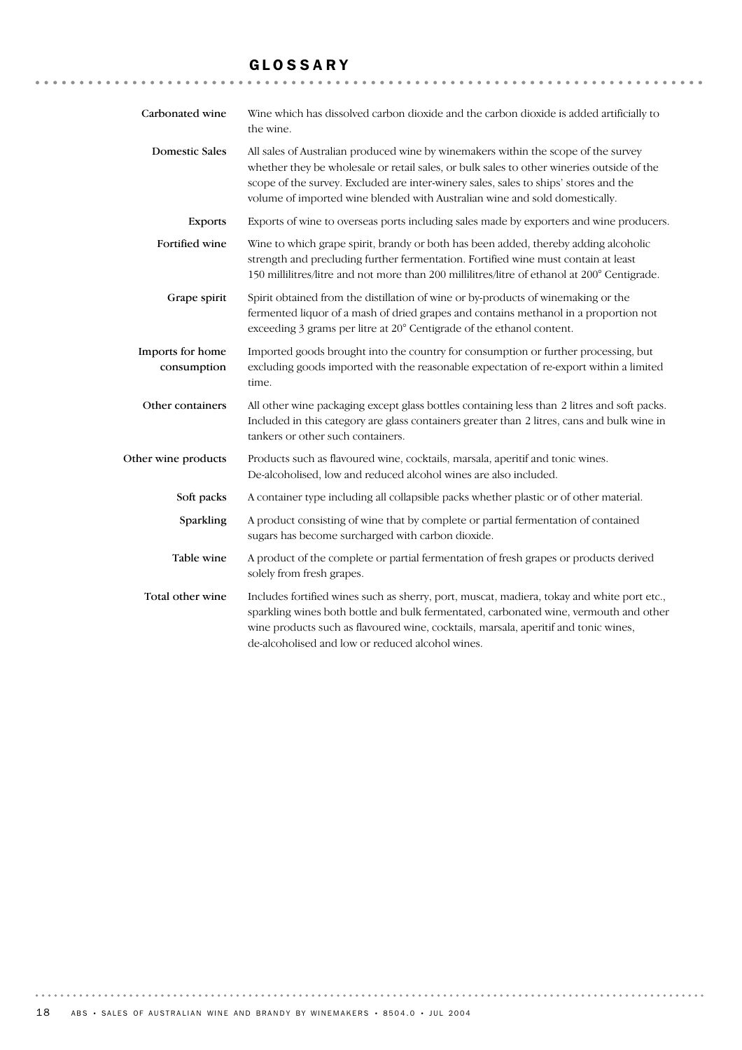# GLOSSARY

| Carbonated wine                 | Wine which has dissolved carbon dioxide and the carbon dioxide is added artificially to<br>the wine.                                                                                                                                                                                                                                                   |
|---------------------------------|--------------------------------------------------------------------------------------------------------------------------------------------------------------------------------------------------------------------------------------------------------------------------------------------------------------------------------------------------------|
| <b>Domestic Sales</b>           | All sales of Australian produced wine by winemakers within the scope of the survey<br>whether they be wholesale or retail sales, or bulk sales to other wineries outside of the<br>scope of the survey. Excluded are inter-winery sales, sales to ships' stores and the<br>volume of imported wine blended with Australian wine and sold domestically. |
| <b>Exports</b>                  | Exports of wine to overseas ports including sales made by exporters and wine producers.                                                                                                                                                                                                                                                                |
| Fortified wine                  | Wine to which grape spirit, brandy or both has been added, thereby adding alcoholic<br>strength and precluding further fermentation. Fortified wine must contain at least<br>150 millilitres/litre and not more than 200 millilitres/litre of ethanol at 200° Centigrade.                                                                              |
| Grape spirit                    | Spirit obtained from the distillation of wine or by-products of winemaking or the<br>fermented liquor of a mash of dried grapes and contains methanol in a proportion not<br>exceeding 3 grams per litre at 20° Centigrade of the ethanol content.                                                                                                     |
| Imports for home<br>consumption | Imported goods brought into the country for consumption or further processing, but<br>excluding goods imported with the reasonable expectation of re-export within a limited<br>time.                                                                                                                                                                  |
| Other containers                | All other wine packaging except glass bottles containing less than 2 litres and soft packs.<br>Included in this category are glass containers greater than 2 litres, cans and bulk wine in<br>tankers or other such containers.                                                                                                                        |
| Other wine products             | Products such as flavoured wine, cocktails, marsala, aperitif and tonic wines.<br>De-alcoholised, low and reduced alcohol wines are also included.                                                                                                                                                                                                     |
| Soft packs                      | A container type including all collapsible packs whether plastic or of other material.                                                                                                                                                                                                                                                                 |
| Sparkling                       | A product consisting of wine that by complete or partial fermentation of contained<br>sugars has become surcharged with carbon dioxide.                                                                                                                                                                                                                |
| Table wine                      | A product of the complete or partial fermentation of fresh grapes or products derived<br>solely from fresh grapes.                                                                                                                                                                                                                                     |
| Total other wine                | Includes fortified wines such as sherry, port, muscat, madiera, tokay and white port etc.,<br>sparkling wines both bottle and bulk fermentated, carbonated wine, vermouth and other<br>wine products such as flavoured wine, cocktails, marsala, aperitif and tonic wines,<br>de-alcoholised and low or reduced alcohol wines.                         |